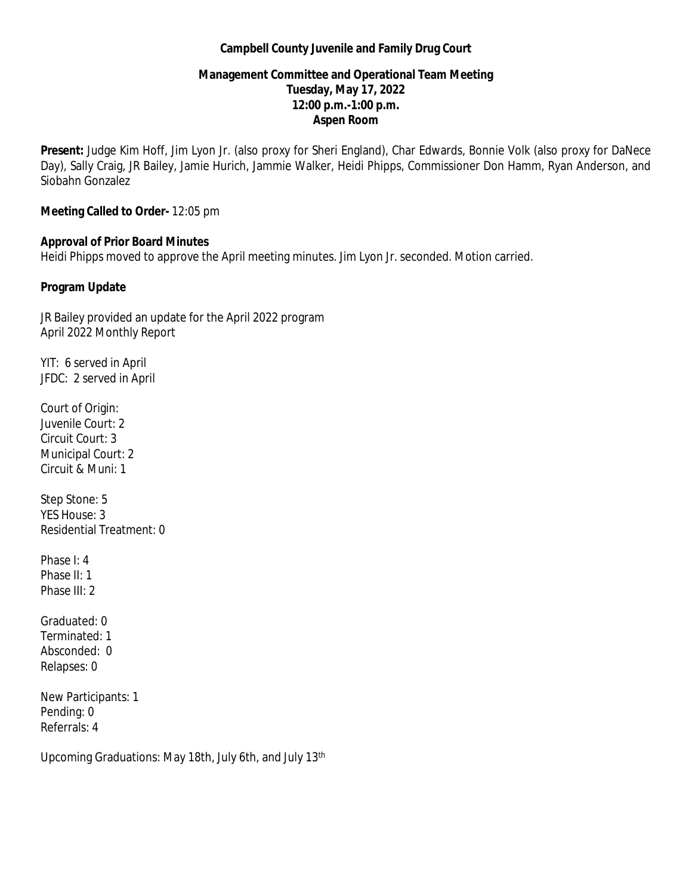## **Campbell County Juvenile and Family Drug Court**

# **Management Committee and Operational Team Meeting Tuesday, May 17, 2022 12:00 p.m.-1:00 p.m. Aspen Room**

**Present:** Judge Kim Hoff, Jim Lyon Jr. (also proxy for Sheri England), Char Edwards, Bonnie Volk (also proxy for DaNece Day), Sally Craig, JR Bailey, Jamie Hurich, Jammie Walker, Heidi Phipps, Commissioner Don Hamm, Ryan Anderson, and Siobahn Gonzalez

## **Meeting Called to Order-** 12:05 pm

## **Approval of Prior Board Minutes**

Heidi Phipps moved to approve the April meeting minutes. Jim Lyon Jr. seconded. Motion carried.

# **Program Update**

JR Bailey provided an update for the April 2022 program April 2022 Monthly Report

YIT: 6 served in April JFDC: 2 served in April

Court of Origin: Juvenile Court: 2 Circuit Court: 3 Municipal Court: 2 Circuit & Muni: 1

Step Stone: 5 YES House: 3 Residential Treatment: 0

Phase I: 4 Phase II: 1 Phase III: 2

Graduated: 0 Terminated: 1 Absconded: 0 Relapses: 0

New Participants: 1 Pending: 0 Referrals: 4

Upcoming Graduations: May 18th, July 6th, and July 13th